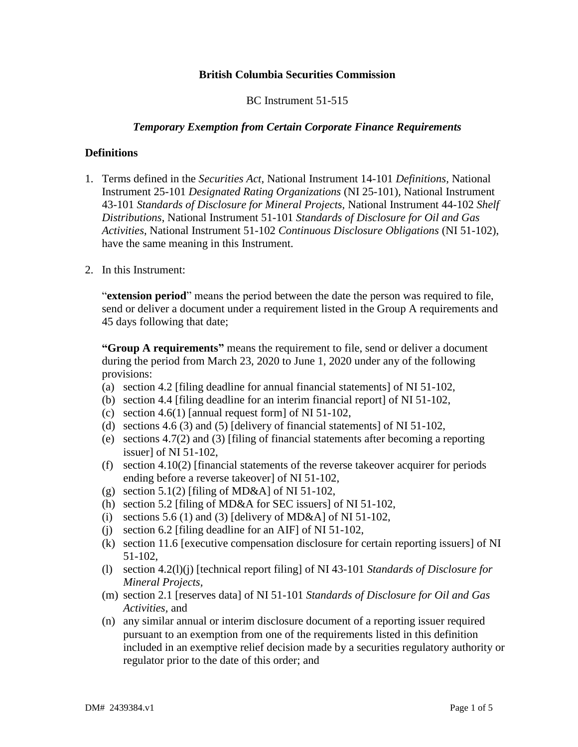# **British Columbia Securities Commission**

BC Instrument 51-515

## *Temporary Exemption from Certain Corporate Finance Requirements*

## **Definitions**

- 1. Terms defined in the *Securities Act*, National Instrument 14-101 *Definitions,* National Instrument 25-101 *Designated Rating Organizations* (NI 25-101)*,* National Instrument 43-101 *Standards of Disclosure for Mineral Projects,* National Instrument 44-102 *Shelf Distributions*, National Instrument 51-101 *Standards of Disclosure for Oil and Gas Activities*, National Instrument 51-102 *Continuous Disclosure Obligations* (NI 51-102), have the same meaning in this Instrument.
- 2. In this Instrument:

"**extension period**" means the period between the date the person was required to file, send or deliver a document under a requirement listed in the Group A requirements and 45 days following that date;

**"Group A requirements"** means the requirement to file, send or deliver a document during the period from March 23, 2020 to June 1, 2020 under any of the following provisions:

- (a) section 4.2 [filing deadline for annual financial statements] of NI 51-102,
- (b) section 4.4 [filing deadline for an interim financial report] of NI 51-102,
- (c) section 4.6(1) [annual request form] of NI  $51-102$ ,
- (d) sections 4.6 (3) and (5) [delivery of financial statements] of NI 51-102,
- (e) sections 4.7(2) and (3) [filing of financial statements after becoming a reporting issuer] of NI 51-102,
- (f) section  $4.10(2)$  [financial statements of the reverse takeover acquirer for periods ending before a reverse takeover] of NI 51-102,
- (g) section 5.1(2) [filing of MD&A] of NI 51-102,
- (h) section 5.2 [filing of MD&A for SEC issuers] of NI 51-102,
- (i) sections 5.6 (1) and (3) [delivery of MD&A] of NI 51-102,
- (j) section 6.2 [filing deadline for an AIF] of NI 51-102,
- (k) section 11.6 [executive compensation disclosure for certain reporting issuers] of NI 51-102,
- (l) section 4.2(l)(j) [technical report filing] of NI 43-101 *Standards of Disclosure for Mineral Projects,*
- (m) section 2.1 [reserves data] of NI 51-101 *Standards of Disclosure for Oil and Gas Activities,* and
- (n) any similar annual or interim disclosure document of a reporting issuer required pursuant to an exemption from one of the requirements listed in this definition included in an exemptive relief decision made by a securities regulatory authority or regulator prior to the date of this order; and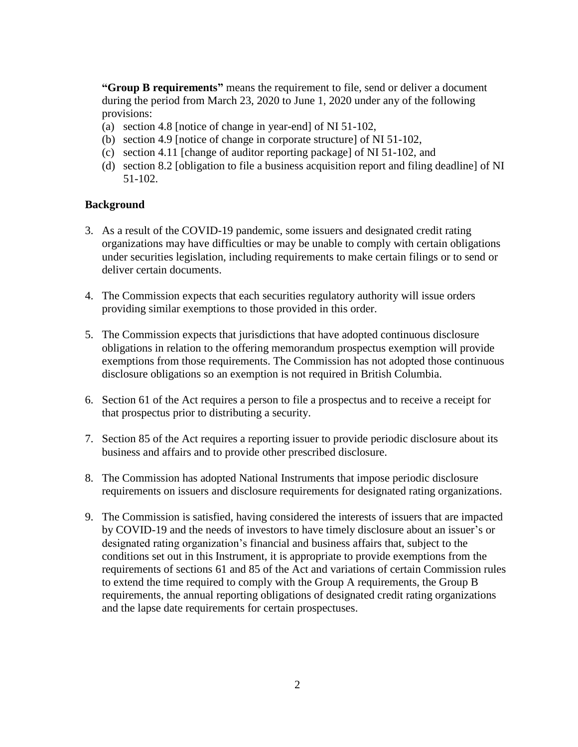**"Group B requirements"** means the requirement to file, send or deliver a document during the period from March 23, 2020 to June 1, 2020 under any of the following provisions:

- (a) section 4.8 [notice of change in year-end] of NI 51-102,
- (b) section 4.9 [notice of change in corporate structure] of NI 51-102,
- (c) section 4.11 [change of auditor reporting package] of NI 51-102, and
- (d) section 8.2 [obligation to file a business acquisition report and filing deadline] of NI 51-102.

### **Background**

- 3. As a result of the COVID-19 pandemic, some issuers and designated credit rating organizations may have difficulties or may be unable to comply with certain obligations under securities legislation, including requirements to make certain filings or to send or deliver certain documents.
- 4. The Commission expects that each securities regulatory authority will issue orders providing similar exemptions to those provided in this order.
- 5. The Commission expects that jurisdictions that have adopted continuous disclosure obligations in relation to the offering memorandum prospectus exemption will provide exemptions from those requirements. The Commission has not adopted those continuous disclosure obligations so an exemption is not required in British Columbia.
- 6. Section 61 of the Act requires a person to file a prospectus and to receive a receipt for that prospectus prior to distributing a security.
- 7. Section 85 of the Act requires a reporting issuer to provide periodic disclosure about its business and affairs and to provide other prescribed disclosure.
- 8. The Commission has adopted National Instruments that impose periodic disclosure requirements on issuers and disclosure requirements for designated rating organizations.
- 9. The Commission is satisfied, having considered the interests of issuers that are impacted by COVID-19 and the needs of investors to have timely disclosure about an issuer's or designated rating organization's financial and business affairs that, subject to the conditions set out in this Instrument, it is appropriate to provide exemptions from the requirements of sections 61 and 85 of the Act and variations of certain Commission rules to extend the time required to comply with the Group A requirements, the Group B requirements, the annual reporting obligations of designated credit rating organizations and the lapse date requirements for certain prospectuses.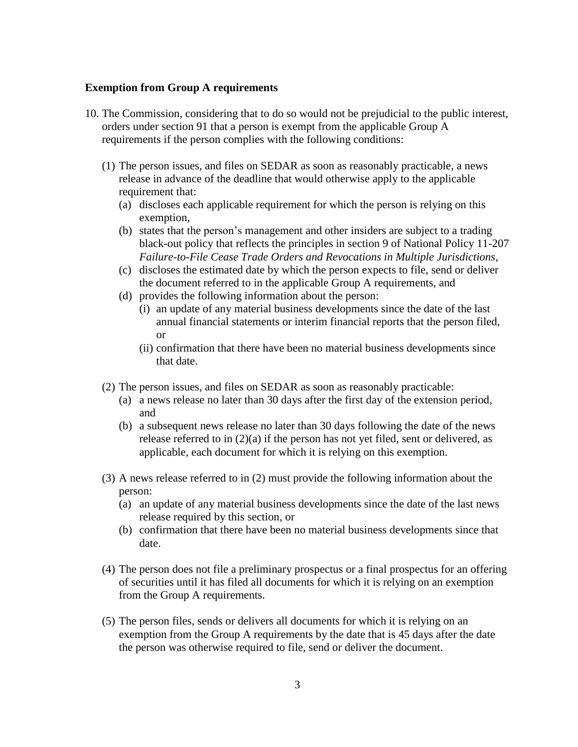### **Exemption from Group A requirements**

- 10. The Commission, considering that to do so would not be prejudicial to the public interest, orders under section 91 that a person is exempt from the applicable Group A requirements if the person complies with the following conditions:
	- (1) The person issues, and files on SEDAR as soon as reasonably practicable, a news release in advance of the deadline that would otherwise apply to the applicable requirement that:
		- (a) discloses each applicable requirement for which the person is relying on this exemption,
		- (b) states that the person's management and other insiders are subject to a trading black-out policy that reflects the principles in section 9 of National Policy 11-207 *Failure-to-File Cease Trade Orders and Revocations in Multiple Jurisdictions*,
		- (c) discloses the estimated date by which the person expects to file, send or deliver the document referred to in the applicable Group A requirements, and
		- (d) provides the following information about the person:
			- (i) an update of any material business developments since the date of the last annual financial statements or interim financial reports that the person filed, or
			- (ii) confirmation that there have been no material business developments since that date.
	- (2) The person issues, and files on SEDAR as soon as reasonably practicable:
		- (a) a news release no later than 30 days after the first day of the extension period, and
		- (b) a subsequent news release no later than 30 days following the date of the news release referred to in  $(2)(a)$  if the person has not yet filed, sent or delivered, as applicable, each document for which it is relying on this exemption.
	- (3) A news release referred to in (2) must provide the following information about the person:
		- (a) an update of any material business developments since the date of the last news release required by this section, or
		- (b) confirmation that there have been no material business developments since that date.
	- (4) The person does not file a preliminary prospectus or a final prospectus for an offering of securities until it has filed all documents for which it is relying on an exemption from the Group A requirements.
	- (5) The person files, sends or delivers all documents for which it is relying on an exemption from the Group A requirements by the date that is 45 days after the date the person was otherwise required to file, send or deliver the document.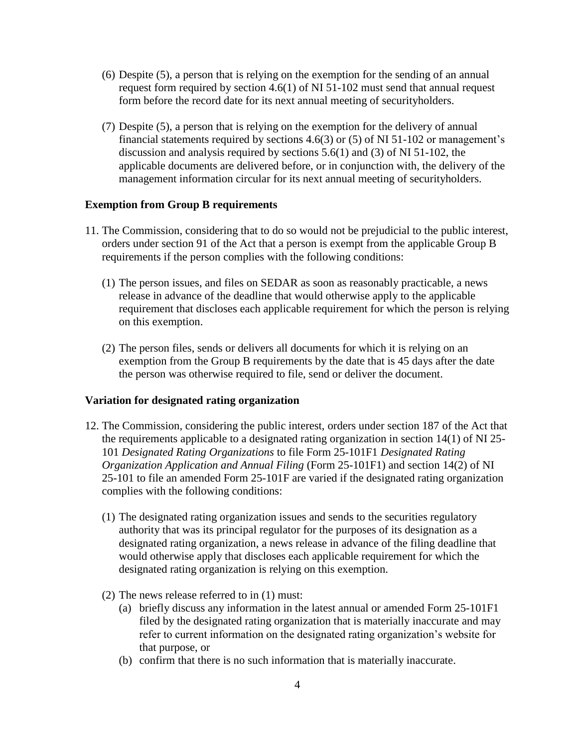- (6) Despite (5), a person that is relying on the exemption for the sending of an annual request form required by section 4.6(1) of NI 51-102 must send that annual request form before the record date for its next annual meeting of securityholders.
- (7) Despite (5), a person that is relying on the exemption for the delivery of annual financial statements required by sections 4.6(3) or (5) of NI 51-102 or management's discussion and analysis required by sections 5.6(1) and (3) of NI 51-102, the applicable documents are delivered before, or in conjunction with, the delivery of the management information circular for its next annual meeting of securityholders.

### **Exemption from Group B requirements**

- 11. The Commission, considering that to do so would not be prejudicial to the public interest, orders under section 91 of the Act that a person is exempt from the applicable Group B requirements if the person complies with the following conditions:
	- (1) The person issues, and files on SEDAR as soon as reasonably practicable, a news release in advance of the deadline that would otherwise apply to the applicable requirement that discloses each applicable requirement for which the person is relying on this exemption.
	- (2) The person files, sends or delivers all documents for which it is relying on an exemption from the Group B requirements by the date that is 45 days after the date the person was otherwise required to file, send or deliver the document.

### **Variation for designated rating organization**

- 12. The Commission, considering the public interest, orders under section 187 of the Act that the requirements applicable to a designated rating organization in section 14(1) of NI 25- 101 *Designated Rating Organizations* to file Form 25-101F1 *Designated Rating Organization Application and Annual Filing* (Form 25-101F1) and section 14(2) of NI 25-101 to file an amended Form 25-101F are varied if the designated rating organization complies with the following conditions:
	- (1) The designated rating organization issues and sends to the securities regulatory authority that was its principal regulator for the purposes of its designation as a designated rating organization, a news release in advance of the filing deadline that would otherwise apply that discloses each applicable requirement for which the designated rating organization is relying on this exemption.
	- (2) The news release referred to in (1) must:
		- (a) briefly discuss any information in the latest annual or amended Form 25-101F1 filed by the designated rating organization that is materially inaccurate and may refer to current information on the designated rating organization's website for that purpose, or
		- (b) confirm that there is no such information that is materially inaccurate.